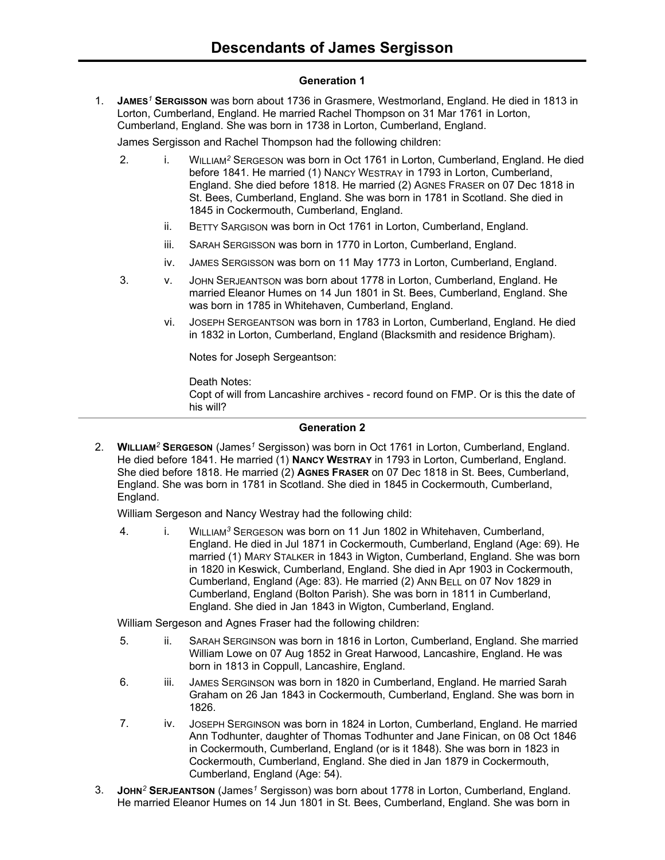# **Generation 1**

1. **JAMES***<sup>1</sup>* **SERGISSON** was born about 1736 in Grasmere, Westmorland, England. He died in 1813 in Lorton, Cumberland, England. He married Rachel Thompson on 31 Mar 1761 in Lorton, Cumberland, England. She was born in 1738 in Lorton, Cumberland, England.

James Sergisson and Rachel Thompson had the following children:

- 2. i. WILLIAM<sup>2</sup> SERGESON was born in Oct 1761 in Lorton, Cumberland, England. He died before 1841. He married (1) NANCY WESTRAY in 1793 in Lorton, Cumberland, England. She died before 1818. He married (2) AGNES FRASER on 07 Dec 1818 in St. Bees, Cumberland, England. She was born in 1781 in Scotland. She died in 1845 in Cockermouth, Cumberland, England.
	- ii. BETTY SARGISON was born in Oct 1761 in Lorton, Cumberland, England.
	- iii. SARAH SERGISSON was born in 1770 in Lorton, Cumberland, England.
	- iv. JAMES SERGISSON was born on 11 May 1773 in Lorton, Cumberland, England.
- 3. v. JOHN SERJEANTSON was born about 1778 in Lorton, Cumberland, England. He married Eleanor Humes on 14 Jun 1801 in St. Bees, Cumberland, England. She was born in 1785 in Whitehaven, Cumberland, England.
	- vi. JOSEPH SERGEANTSON was born in 1783 in Lorton, Cumberland, England. He died in 1832 in Lorton, Cumberland, England (Blacksmith and residence Brigham).

Notes for Joseph Sergeantson:

Death Notes: Copt of will from Lancashire archives - record found on FMP. Or is this the date of his will?

#### **Generation 2**

2. **WILLIAM***<sup>2</sup>* **SERGESON** (James*<sup>1</sup>* Sergisson) was born in Oct 1761 in Lorton, Cumberland, England. He died before 1841. He married (1) **NANCY WESTRAY** in 1793 in Lorton, Cumberland, England. She died before 1818. He married (2) **AGNES FRASER** on 07 Dec 1818 in St. Bees, Cumberland, England. She was born in 1781 in Scotland. She died in 1845 in Cockermouth, Cumberland, England.

William Sergeson and Nancy Westray had the following child:

4. i. WILLIAM<sup>3</sup> SERGESON was born on 11 Jun 1802 in Whitehaven, Cumberland, England. He died in Jul 1871 in Cockermouth, Cumberland, England (Age: 69). He married (1) MARY STALKER in 1843 in Wigton, Cumberland, England. She was born in 1820 in Keswick, Cumberland, England. She died in Apr 1903 in Cockermouth, Cumberland, England (Age: 83). He married (2) ANN BELL on 07 Nov 1829 in Cumberland, England (Bolton Parish). She was born in 1811 in Cumberland, England. She died in Jan 1843 in Wigton, Cumberland, England.

William Sergeson and Agnes Fraser had the following children:

- 5. ii. SARAH SERGINSON was born in 1816 in Lorton, Cumberland, England. She married William Lowe on 07 Aug 1852 in Great Harwood, Lancashire, England. He was born in 1813 in Coppull, Lancashire, England.
- 6. iii. JAMES SERGINSON was born in 1820 in Cumberland, England. He married Sarah Graham on 26 Jan 1843 in Cockermouth, Cumberland, England. She was born in 1826.
- 7. iv. JOSEPH SERGINSON was born in 1824 in Lorton, Cumberland, England. He married Ann Todhunter, daughter of Thomas Todhunter and Jane Finican, on 08 Oct 1846 in Cockermouth, Cumberland, England (or is it 1848). She was born in 1823 in Cockermouth, Cumberland, England. She died in Jan 1879 in Cockermouth, Cumberland, England (Age: 54).
- 3. **JOHN***<sup>2</sup>* **SERJEANTSON** (James*<sup>1</sup>* Sergisson) was born about 1778 in Lorton, Cumberland, England. He married Eleanor Humes on 14 Jun 1801 in St. Bees, Cumberland, England. She was born in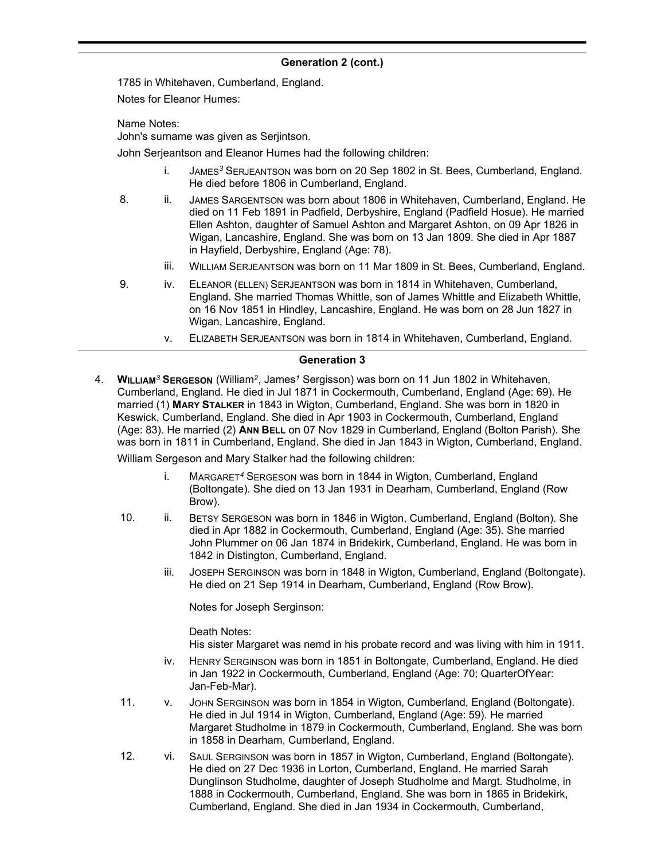1785 in Whitehaven, Cumberland, England.

Notes for Eleanor Humes:

Name Notes:

John's surname was given as Serjintson.

John Serjeantson and Eleanor Humes had the following children:

- i. JAMES*<sup>3</sup>* SERJEANTSON was born on 20 Sep 1802 in St. Bees, Cumberland, England. He died before 1806 in Cumberland, England.
- 8. ii. JAMES SARGENTSON was born about 1806 in Whitehaven, Cumberland, England. He died on 11 Feb 1891 in Padfield, Derbyshire, England (Padfield Hosue). He married Ellen Ashton, daughter of Samuel Ashton and Margaret Ashton, on 09 Apr 1826 in Wigan, Lancashire, England. She was born on 13 Jan 1809. She died in Apr 1887 in Hayfield, Derbyshire, England (Age: 78).
	- iii. WILLIAM SERJEANTSON was born on 11 Mar 1809 in St. Bees, Cumberland, England.
- 9. iv. ELEANOR (ELLEN) SERJEANTSON was born in 1814 in Whitehaven, Cumberland, England. She married Thomas Whittle, son of James Whittle and Elizabeth Whittle, on 16 Nov 1851 in Hindley, Lancashire, England. He was born on 28 Jun 1827 in Wigan, Lancashire, England.
	- v. ELIZABETH SERJEANTSON was born in 1814 in Whitehaven, Cumberland, England.

#### **Generation 3**

4. **WILLIAM***<sup>3</sup>* **SERGESON** (William*<sup>2</sup>* , James*<sup>1</sup>* Sergisson) was born on 11 Jun 1802 in Whitehaven, Cumberland, England. He died in Jul 1871 in Cockermouth, Cumberland, England (Age: 69). He married (1) **MARY STALKER** in 1843 in Wigton, Cumberland, England. She was born in 1820 in Keswick, Cumberland, England. She died in Apr 1903 in Cockermouth, Cumberland, England (Age: 83). He married (2) **ANN BELL** on 07 Nov 1829 in Cumberland, England (Bolton Parish). She was born in 1811 in Cumberland, England. She died in Jan 1843 in Wigton, Cumberland, England.

William Sergeson and Mary Stalker had the following children:

- i. MARGARET*<sup>4</sup>* SERGESON was born in 1844 in Wigton, Cumberland, England (Boltongate). She died on 13 Jan 1931 in Dearham, Cumberland, England (Row Brow).
- 10. ii. BETSY SERGESON was born in 1846 in Wigton, Cumberland, England (Bolton). She died in Apr 1882 in Cockermouth, Cumberland, England (Age: 35). She married John Plummer on 06 Jan 1874 in Bridekirk, Cumberland, England. He was born in 1842 in Distington, Cumberland, England.
	- iii. JOSEPH SERGINSON was born in 1848 in Wigton, Cumberland, England (Boltongate). He died on 21 Sep 1914 in Dearham, Cumberland, England (Row Brow).

Notes for Joseph Serginson:

Death Notes: His sister Margaret was nemd in his probate record and was living with him in 1911.

- iv. HENRY SERGINSON was born in 1851 in Boltongate, Cumberland, England. He died in Jan 1922 in Cockermouth, Cumberland, England (Age: 70; QuarterOfYear: Jan-Feb-Mar).
- 11. v. JOHN SERGINSON was born in 1854 in Wigton, Cumberland, England (Boltongate). He died in Jul 1914 in Wigton, Cumberland, England (Age: 59). He married Margaret Studholme in 1879 in Cockermouth, Cumberland, England. She was born in 1858 in Dearham, Cumberland, England.
- 12. vi. SAUL SERGINSON was born in 1857 in Wigton, Cumberland, England (Boltongate). He died on 27 Dec 1936 in Lorton, Cumberland, England. He married Sarah Dunglinson Studholme, daughter of Joseph Studholme and Margt. Studholme, in 1888 in Cockermouth, Cumberland, England. She was born in 1865 in Bridekirk, Cumberland, England. She died in Jan 1934 in Cockermouth, Cumberland,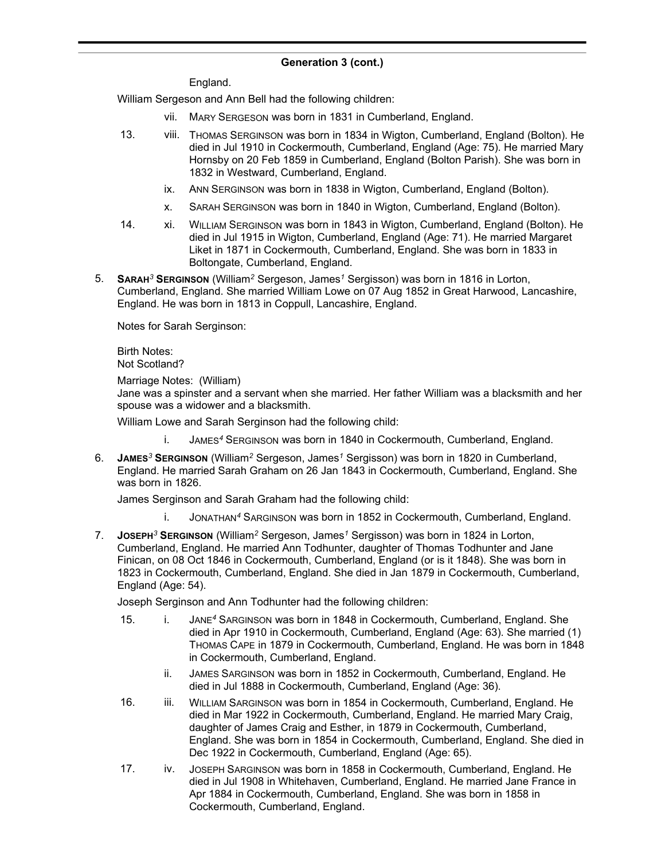England.

William Sergeson and Ann Bell had the following children:

- vii. MARY SERGESON was born in 1831 in Cumberland, England.
- 13. viii. THOMAS SERGINSON was born in 1834 in Wigton, Cumberland, England (Bolton). He died in Jul 1910 in Cockermouth, Cumberland, England (Age: 75). He married Mary Hornsby on 20 Feb 1859 in Cumberland, England (Bolton Parish). She was born in 1832 in Westward, Cumberland, England.
	- ix. ANN SERGINSON was born in 1838 in Wigton, Cumberland, England (Bolton).
	- x. SARAH SERGINSON was born in 1840 in Wigton, Cumberland, England (Bolton).
- 14. xi. WILLIAM SERGINSON was born in 1843 in Wigton, Cumberland, England (Bolton). He died in Jul 1915 in Wigton, Cumberland, England (Age: 71). He married Margaret Liket in 1871 in Cockermouth, Cumberland, England. She was born in 1833 in Boltongate, Cumberland, England.
- 5. **SARAH***<sup>3</sup>* **SERGINSON** (William*<sup>2</sup>* Sergeson, James*<sup>1</sup>* Sergisson) was born in 1816 in Lorton, Cumberland, England. She married William Lowe on 07 Aug 1852 in Great Harwood, Lancashire, England. He was born in 1813 in Coppull, Lancashire, England.

Notes for Sarah Serginson:

Birth Notes: Not Scotland?

Marriage Notes: (William)

Jane was a spinster and a servant when she married. Her father William was a blacksmith and her spouse was a widower and a blacksmith.

William Lowe and Sarah Serginson had the following child:

- i. JAMES*<sup>4</sup>* SERGINSON was born in 1840 in Cockermouth, Cumberland, England.
- 6. **JAMES***<sup>3</sup>* **SERGINSON** (William*<sup>2</sup>* Sergeson, James*<sup>1</sup>* Sergisson) was born in 1820 in Cumberland, England. He married Sarah Graham on 26 Jan 1843 in Cockermouth, Cumberland, England. She was born in 1826.

James Serginson and Sarah Graham had the following child:

- i. JONATHAN*<sup>4</sup>* SARGINSON was born in 1852 in Cockermouth, Cumberland, England.
- 7. **JOSEPH***<sup>3</sup>* **SERGINSON** (William*<sup>2</sup>* Sergeson, James*<sup>1</sup>* Sergisson) was born in 1824 in Lorton, Cumberland, England. He married Ann Todhunter, daughter of Thomas Todhunter and Jane Finican, on 08 Oct 1846 in Cockermouth, Cumberland, England (or is it 1848). She was born in 1823 in Cockermouth, Cumberland, England. She died in Jan 1879 in Cockermouth, Cumberland, England (Age: 54).

Joseph Serginson and Ann Todhunter had the following children:

- 15. i. JANE*<sup>4</sup>* SARGINSON was born in 1848 in Cockermouth, Cumberland, England. She died in Apr 1910 in Cockermouth, Cumberland, England (Age: 63). She married (1) THOMAS CAPE in 1879 in Cockermouth, Cumberland, England. He was born in 1848 in Cockermouth, Cumberland, England.
	- ii. JAMES SARGINSON was born in 1852 in Cockermouth, Cumberland, England. He died in Jul 1888 in Cockermouth, Cumberland, England (Age: 36).
- 16. iii. WILLIAM SARGINSON was born in 1854 in Cockermouth, Cumberland, England. He died in Mar 1922 in Cockermouth, Cumberland, England. He married Mary Craig, daughter of James Craig and Esther, in 1879 in Cockermouth, Cumberland, England. She was born in 1854 in Cockermouth, Cumberland, England. She died in Dec 1922 in Cockermouth, Cumberland, England (Age: 65).
- 17. iv. JOSEPH SARGINSON was born in 1858 in Cockermouth, Cumberland, England. He died in Jul 1908 in Whitehaven, Cumberland, England. He married Jane France in Apr 1884 in Cockermouth, Cumberland, England. She was born in 1858 in Cockermouth, Cumberland, England.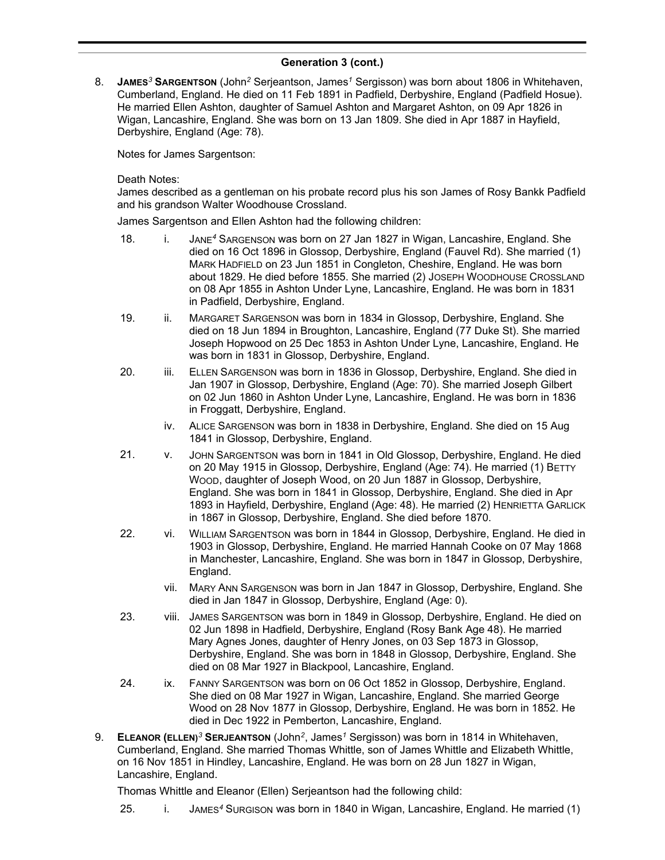8. **JAMES***<sup>3</sup>* **SARGENTSON** (John*<sup>2</sup>* Serjeantson, James*<sup>1</sup>* Sergisson) was born about 1806 in Whitehaven, Cumberland, England. He died on 11 Feb 1891 in Padfield, Derbyshire, England (Padfield Hosue). He married Ellen Ashton, daughter of Samuel Ashton and Margaret Ashton, on 09 Apr 1826 in Wigan, Lancashire, England. She was born on 13 Jan 1809. She died in Apr 1887 in Hayfield, Derbyshire, England (Age: 78).

Notes for James Sargentson:

Death Notes:

James described as a gentleman on his probate record plus his son James of Rosy Bankk Padfield and his grandson Walter Woodhouse Crossland.

James Sargentson and Ellen Ashton had the following children:

- 18. i. JANE*<sup>4</sup>* SARGENSON was born on 27 Jan 1827 in Wigan, Lancashire, England. She died on 16 Oct 1896 in Glossop, Derbyshire, England (Fauvel Rd). She married (1) MARK HADFIELD on 23 Jun 1851 in Congleton, Cheshire, England. He was born about 1829. He died before 1855. She married (2) JOSEPH WOODHOUSE CROSSLAND on 08 Apr 1855 in Ashton Under Lyne, Lancashire, England. He was born in 1831 in Padfield, Derbyshire, England.
- 19. ii. MARGARET SARGENSON was born in 1834 in Glossop, Derbyshire, England. She died on 18 Jun 1894 in Broughton, Lancashire, England (77 Duke St). She married Joseph Hopwood on 25 Dec 1853 in Ashton Under Lyne, Lancashire, England. He was born in 1831 in Glossop, Derbyshire, England.
- 20. iii. ELLEN SARGENSON was born in 1836 in Glossop, Derbyshire, England. She died in Jan 1907 in Glossop, Derbyshire, England (Age: 70). She married Joseph Gilbert on 02 Jun 1860 in Ashton Under Lyne, Lancashire, England. He was born in 1836 in Froggatt, Derbyshire, England.
	- iv. ALICE SARGENSON was born in 1838 in Derbyshire, England. She died on 15 Aug 1841 in Glossop, Derbyshire, England.
- 21. v. JOHN SARGENTSON was born in 1841 in Old Glossop, Derbyshire, England. He died on 20 May 1915 in Glossop, Derbyshire, England (Age: 74). He married (1) BETTY WOOD, daughter of Joseph Wood, on 20 Jun 1887 in Glossop, Derbyshire, England. She was born in 1841 in Glossop, Derbyshire, England. She died in Apr 1893 in Hayfield, Derbyshire, England (Age: 48). He married (2) HENRIETTA GARLICK in 1867 in Glossop, Derbyshire, England. She died before 1870.
- 22. vi. WILLIAM SARGENTSON was born in 1844 in Glossop, Derbyshire, England. He died in 1903 in Glossop, Derbyshire, England. He married Hannah Cooke on 07 May 1868 in Manchester, Lancashire, England. She was born in 1847 in Glossop, Derbyshire, England.
	- vii. MARY ANN SARGENSON was born in Jan 1847 in Glossop, Derbyshire, England. She died in Jan 1847 in Glossop, Derbyshire, England (Age: 0).
- 23. viii. JAMES SARGENTSON was born in 1849 in Glossop, Derbyshire, England. He died on 02 Jun 1898 in Hadfield, Derbyshire, England (Rosy Bank Age 48). He married Mary Agnes Jones, daughter of Henry Jones, on 03 Sep 1873 in Glossop, Derbyshire, England. She was born in 1848 in Glossop, Derbyshire, England. She died on 08 Mar 1927 in Blackpool, Lancashire, England.
- 24. ix. FANNY SARGENTSON was born on 06 Oct 1852 in Glossop, Derbyshire, England. She died on 08 Mar 1927 in Wigan, Lancashire, England. She married George Wood on 28 Nov 1877 in Glossop, Derbyshire, England. He was born in 1852. He died in Dec 1922 in Pemberton, Lancashire, England.
- 9. **ELEANOR (ELLEN)***<sup>3</sup>* **SERJEANTSON** (John*<sup>2</sup>* , James*<sup>1</sup>* Sergisson) was born in 1814 in Whitehaven, Cumberland, England. She married Thomas Whittle, son of James Whittle and Elizabeth Whittle, on 16 Nov 1851 in Hindley, Lancashire, England. He was born on 28 Jun 1827 in Wigan, Lancashire, England.

Thomas Whittle and Eleanor (Ellen) Serjeantson had the following child:

25. i. JAMES*<sup>4</sup>* SURGISON was born in 1840 in Wigan, Lancashire, England. He married (1)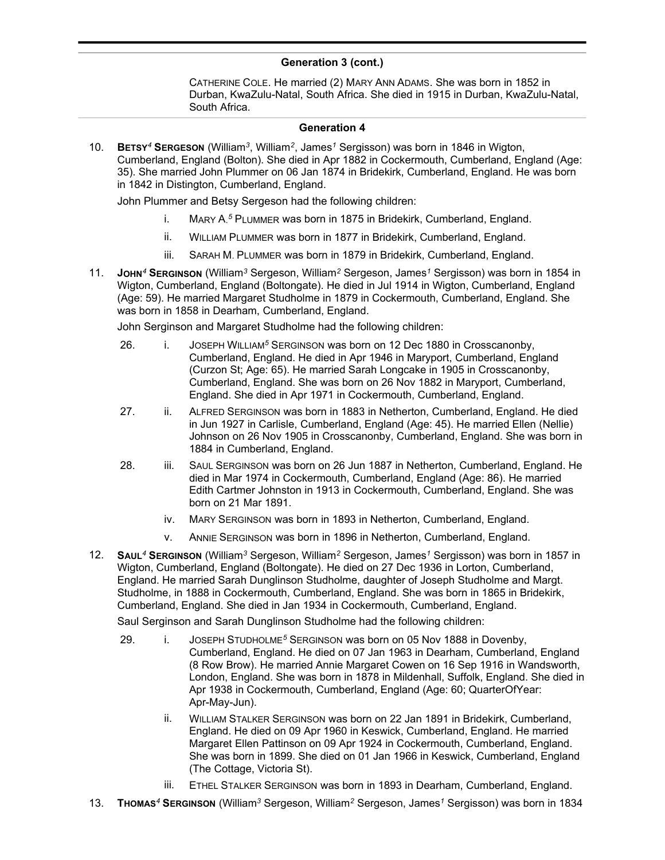CATHERINE COLE. He married (2) MARY ANN ADAMS. She was born in 1852 in Durban, KwaZulu-Natal, South Africa. She died in 1915 in Durban, KwaZulu-Natal, South Africa.

#### **Generation 4**

10. **BETSY***<sup>4</sup>* **SERGESON** (William*<sup>3</sup>* , William*<sup>2</sup>* , James*<sup>1</sup>* Sergisson) was born in 1846 in Wigton, Cumberland, England (Bolton). She died in Apr 1882 in Cockermouth, Cumberland, England (Age: 35). She married John Plummer on 06 Jan 1874 in Bridekirk, Cumberland, England. He was born in 1842 in Distington, Cumberland, England.

John Plummer and Betsy Sergeson had the following children:

- i. MARY A. *<sup>5</sup>* PLUMMER was born in 1875 in Bridekirk, Cumberland, England.
- ii. WILLIAM PLUMMER was born in 1877 in Bridekirk, Cumberland, England.
- iii. SARAH M. PLUMMER was born in 1879 in Bridekirk, Cumberland, England.
- 11. **JOHN***<sup>4</sup>* **SERGINSON** (William*<sup>3</sup>* Sergeson, William*<sup>2</sup>* Sergeson, James*<sup>1</sup>* Sergisson) was born in 1854 in Wigton, Cumberland, England (Boltongate). He died in Jul 1914 in Wigton, Cumberland, England (Age: 59). He married Margaret Studholme in 1879 in Cockermouth, Cumberland, England. She was born in 1858 in Dearham, Cumberland, England.

John Serginson and Margaret Studholme had the following children:

- 26. i. JOSEPH WILLIAM*<sup>5</sup>* SERGINSON was born on 12 Dec 1880 in Crosscanonby, Cumberland, England. He died in Apr 1946 in Maryport, Cumberland, England (Curzon St; Age: 65). He married Sarah Longcake in 1905 in Crosscanonby, Cumberland, England. She was born on 26 Nov 1882 in Maryport, Cumberland, England. She died in Apr 1971 in Cockermouth, Cumberland, England.
- 27. ii. ALFRED SERGINSON was born in 1883 in Netherton, Cumberland, England. He died in Jun 1927 in Carlisle, Cumberland, England (Age: 45). He married Ellen (Nellie) Johnson on 26 Nov 1905 in Crosscanonby, Cumberland, England. She was born in 1884 in Cumberland, England.
- 28. iii. SAUL SERGINSON was born on 26 Jun 1887 in Netherton, Cumberland, England. He died in Mar 1974 in Cockermouth, Cumberland, England (Age: 86). He married Edith Cartmer Johnston in 1913 in Cockermouth, Cumberland, England. She was born on 21 Mar 1891.
	- iv. MARY SERGINSON was born in 1893 in Netherton, Cumberland, England.
	- v. ANNIE SERGINSON was born in 1896 in Netherton, Cumberland, England.
- 12. **SAUL***<sup>4</sup>* **SERGINSON** (William*<sup>3</sup>* Sergeson, William*<sup>2</sup>* Sergeson, James*<sup>1</sup>* Sergisson) was born in 1857 in Wigton, Cumberland, England (Boltongate). He died on 27 Dec 1936 in Lorton, Cumberland, England. He married Sarah Dunglinson Studholme, daughter of Joseph Studholme and Margt. Studholme, in 1888 in Cockermouth, Cumberland, England. She was born in 1865 in Bridekirk, Cumberland, England. She died in Jan 1934 in Cockermouth, Cumberland, England.

Saul Serginson and Sarah Dunglinson Studholme had the following children:

- 29. i. JOSEPH STUDHOLME*<sup>5</sup>* SERGINSON was born on 05 Nov 1888 in Dovenby, Cumberland, England. He died on 07 Jan 1963 in Dearham, Cumberland, England (8 Row Brow). He married Annie Margaret Cowen on 16 Sep 1916 in Wandsworth, London, England. She was born in 1878 in Mildenhall, Suffolk, England. She died in Apr 1938 in Cockermouth, Cumberland, England (Age: 60; QuarterOfYear: Apr-May-Jun).
	- ii. WILLIAM STALKER SERGINSON was born on 22 Jan 1891 in Bridekirk, Cumberland, England. He died on 09 Apr 1960 in Keswick, Cumberland, England. He married Margaret Ellen Pattinson on 09 Apr 1924 in Cockermouth, Cumberland, England. She was born in 1899. She died on 01 Jan 1966 in Keswick, Cumberland, England (The Cottage, Victoria St).
	- iii. ETHEL STALKER SERGINSON was born in 1893 in Dearham, Cumberland, England.
- 13. **THOMAS***<sup>4</sup>* **SERGINSON** (William*<sup>3</sup>* Sergeson, William*<sup>2</sup>* Sergeson, James*<sup>1</sup>* Sergisson) was born in 1834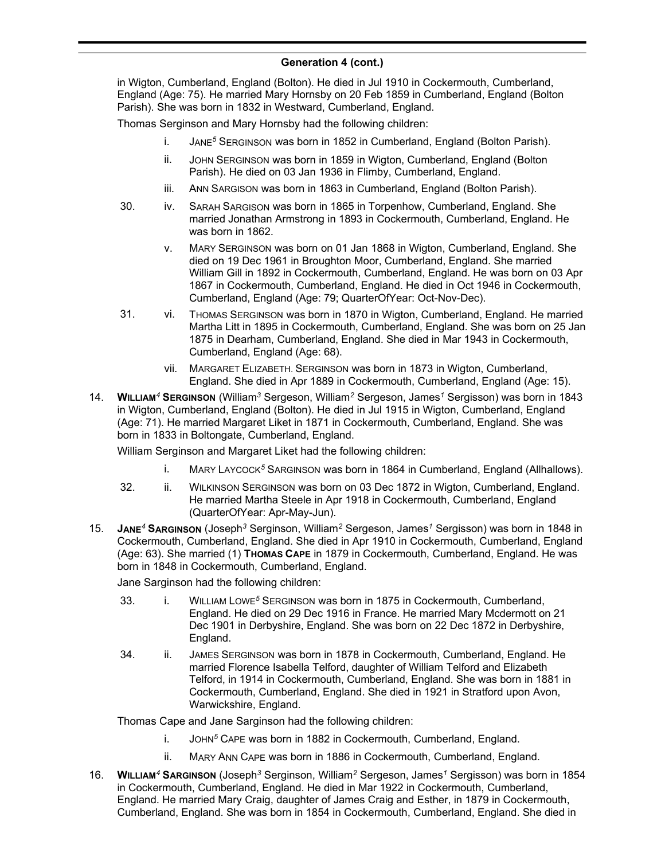in Wigton, Cumberland, England (Bolton). He died in Jul 1910 in Cockermouth, Cumberland, England (Age: 75). He married Mary Hornsby on 20 Feb 1859 in Cumberland, England (Bolton Parish). She was born in 1832 in Westward, Cumberland, England.

Thomas Serginson and Mary Hornsby had the following children:

- i. JANE*<sup>5</sup>* SERGINSON was born in 1852 in Cumberland, England (Bolton Parish).
- ii. JOHN SERGINSON was born in 1859 in Wigton, Cumberland, England (Bolton Parish). He died on 03 Jan 1936 in Flimby, Cumberland, England.
- iii. ANN SARGISON was born in 1863 in Cumberland, England (Bolton Parish).
- 30. iv. SARAH SARGISON was born in 1865 in Torpenhow, Cumberland, England. She married Jonathan Armstrong in 1893 in Cockermouth, Cumberland, England. He was born in 1862.
	- v. MARY SERGINSON was born on 01 Jan 1868 in Wigton, Cumberland, England. She died on 19 Dec 1961 in Broughton Moor, Cumberland, England. She married William Gill in 1892 in Cockermouth, Cumberland, England. He was born on 03 Apr 1867 in Cockermouth, Cumberland, England. He died in Oct 1946 in Cockermouth, Cumberland, England (Age: 79; QuarterOfYear: Oct-Nov-Dec).
- 31. vi. THOMAS SERGINSON was born in 1870 in Wigton, Cumberland, England. He married Martha Litt in 1895 in Cockermouth, Cumberland, England. She was born on 25 Jan 1875 in Dearham, Cumberland, England. She died in Mar 1943 in Cockermouth, Cumberland, England (Age: 68).
	- vii. MARGARET ELIZABETH. SERGINSON was born in 1873 in Wigton, Cumberland, England. She died in Apr 1889 in Cockermouth, Cumberland, England (Age: 15).
- 14. **WILLIAM***<sup>4</sup>* **SERGINSON** (William*<sup>3</sup>* Sergeson, William*<sup>2</sup>* Sergeson, James*<sup>1</sup>* Sergisson) was born in 1843 in Wigton, Cumberland, England (Bolton). He died in Jul 1915 in Wigton, Cumberland, England (Age: 71). He married Margaret Liket in 1871 in Cockermouth, Cumberland, England. She was born in 1833 in Boltongate, Cumberland, England.

William Serginson and Margaret Liket had the following children:

- i. MARY LAYCOCK*<sup>5</sup>* SARGINSON was born in 1864 in Cumberland, England (Allhallows).
- 32. ii. WILKINSON SERGINSON was born on 03 Dec 1872 in Wigton, Cumberland, England. He married Martha Steele in Apr 1918 in Cockermouth, Cumberland, England (QuarterOfYear: Apr-May-Jun).
- 15. **JANE***<sup>4</sup>* **SARGINSON** (Joseph*<sup>3</sup>* Serginson, William*<sup>2</sup>* Sergeson, James*<sup>1</sup>* Sergisson) was born in 1848 in Cockermouth, Cumberland, England. She died in Apr 1910 in Cockermouth, Cumberland, England (Age: 63). She married (1) **THOMAS CAPE** in 1879 in Cockermouth, Cumberland, England. He was born in 1848 in Cockermouth, Cumberland, England.

Jane Sarginson had the following children:

- 33. i. WILLIAM LOWE*<sup>5</sup>* SERGINSON was born in 1875 in Cockermouth, Cumberland, England. He died on 29 Dec 1916 in France. He married Mary Mcdermott on 21 Dec 1901 in Derbyshire, England. She was born on 22 Dec 1872 in Derbyshire, England.
- 34. ii. JAMES SERGINSON was born in 1878 in Cockermouth, Cumberland, England. He married Florence Isabella Telford, daughter of William Telford and Elizabeth Telford, in 1914 in Cockermouth, Cumberland, England. She was born in 1881 in Cockermouth, Cumberland, England. She died in 1921 in Stratford upon Avon, Warwickshire, England.

Thomas Cape and Jane Sarginson had the following children:

- i. JOHN*<sup>5</sup>* CAPE was born in 1882 in Cockermouth, Cumberland, England.
- ii. MARY ANN CAPE was born in 1886 in Cockermouth, Cumberland, England.
- 16. **WILLIAM***<sup>4</sup>* **SARGINSON** (Joseph*<sup>3</sup>* Serginson, William*<sup>2</sup>* Sergeson, James*<sup>1</sup>* Sergisson) was born in 1854 in Cockermouth, Cumberland, England. He died in Mar 1922 in Cockermouth, Cumberland, England. He married Mary Craig, daughter of James Craig and Esther, in 1879 in Cockermouth, Cumberland, England. She was born in 1854 in Cockermouth, Cumberland, England. She died in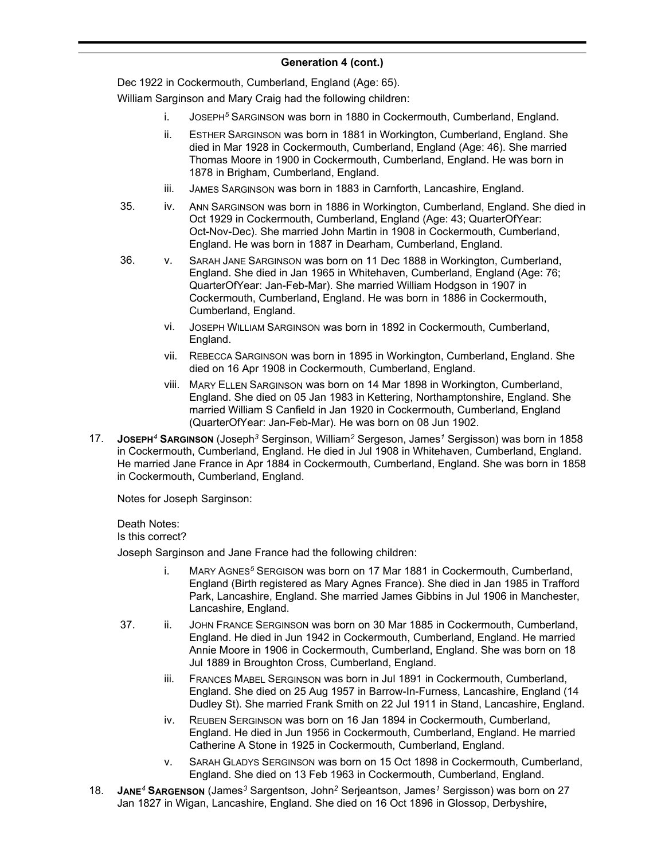Dec 1922 in Cockermouth, Cumberland, England (Age: 65).

William Sarginson and Mary Craig had the following children:

- i. JOSEPH*<sup>5</sup>* SARGINSON was born in 1880 in Cockermouth, Cumberland, England.
- ii. ESTHER SARGINSON was born in 1881 in Workington, Cumberland, England. She died in Mar 1928 in Cockermouth, Cumberland, England (Age: 46). She married Thomas Moore in 1900 in Cockermouth, Cumberland, England. He was born in 1878 in Brigham, Cumberland, England.
- iii. JAMES SARGINSON was born in 1883 in Carnforth, Lancashire, England.
- 35. iv. ANN SARGINSON was born in 1886 in Workington, Cumberland, England. She died in Oct 1929 in Cockermouth, Cumberland, England (Age: 43; QuarterOfYear: Oct-Nov-Dec). She married John Martin in 1908 in Cockermouth, Cumberland, England. He was born in 1887 in Dearham, Cumberland, England.
- 36. v. SARAH JANE SARGINSON was born on 11 Dec 1888 in Workington, Cumberland, England. She died in Jan 1965 in Whitehaven, Cumberland, England (Age: 76; QuarterOfYear: Jan-Feb-Mar). She married William Hodgson in 1907 in Cockermouth, Cumberland, England. He was born in 1886 in Cockermouth, Cumberland, England.
	- vi. JOSEPH WILLIAM SARGINSON was born in 1892 in Cockermouth, Cumberland, England.
	- vii. REBECCA SARGINSON was born in 1895 in Workington, Cumberland, England. She died on 16 Apr 1908 in Cockermouth, Cumberland, England.
	- viii. MARY ELLEN SARGINSON was born on 14 Mar 1898 in Workington, Cumberland, England. She died on 05 Jan 1983 in Kettering, Northamptonshire, England. She married William S Canfield in Jan 1920 in Cockermouth, Cumberland, England (QuarterOfYear: Jan-Feb-Mar). He was born on 08 Jun 1902.
- 17. **JOSEPH***<sup>4</sup>* **SARGINSON** (Joseph*<sup>3</sup>* Serginson, William*<sup>2</sup>* Sergeson, James*<sup>1</sup>* Sergisson) was born in 1858 in Cockermouth, Cumberland, England. He died in Jul 1908 in Whitehaven, Cumberland, England. He married Jane France in Apr 1884 in Cockermouth, Cumberland, England. She was born in 1858 in Cockermouth, Cumberland, England.

Notes for Joseph Sarginson:

Death Notes: Is this correct?

Joseph Sarginson and Jane France had the following children:

- i. MARY AGNES*<sup>5</sup>* SERGISON was born on 17 Mar 1881 in Cockermouth, Cumberland, England (Birth registered as Mary Agnes France). She died in Jan 1985 in Trafford Park, Lancashire, England. She married James Gibbins in Jul 1906 in Manchester, Lancashire, England.
- 37. ii. JOHN FRANCE SERGINSON was born on 30 Mar 1885 in Cockermouth, Cumberland, England. He died in Jun 1942 in Cockermouth, Cumberland, England. He married Annie Moore in 1906 in Cockermouth, Cumberland, England. She was born on 18 Jul 1889 in Broughton Cross, Cumberland, England.
	- iii. FRANCES MABEL SERGINSON was born in Jul 1891 in Cockermouth, Cumberland, England. She died on 25 Aug 1957 in Barrow-In-Furness, Lancashire, England (14 Dudley St). She married Frank Smith on 22 Jul 1911 in Stand, Lancashire, England.
	- iv. REUBEN SERGINSON was born on 16 Jan 1894 in Cockermouth, Cumberland, England. He died in Jun 1956 in Cockermouth, Cumberland, England. He married Catherine A Stone in 1925 in Cockermouth, Cumberland, England.
	- v. SARAH GLADYS SERGINSON was born on 15 Oct 1898 in Cockermouth, Cumberland, England. She died on 13 Feb 1963 in Cockermouth, Cumberland, England.
- 18. **JANE***<sup>4</sup>* **SARGENSON** (James*<sup>3</sup>* Sargentson, John*<sup>2</sup>* Serjeantson, James*<sup>1</sup>* Sergisson) was born on 27 Jan 1827 in Wigan, Lancashire, England. She died on 16 Oct 1896 in Glossop, Derbyshire,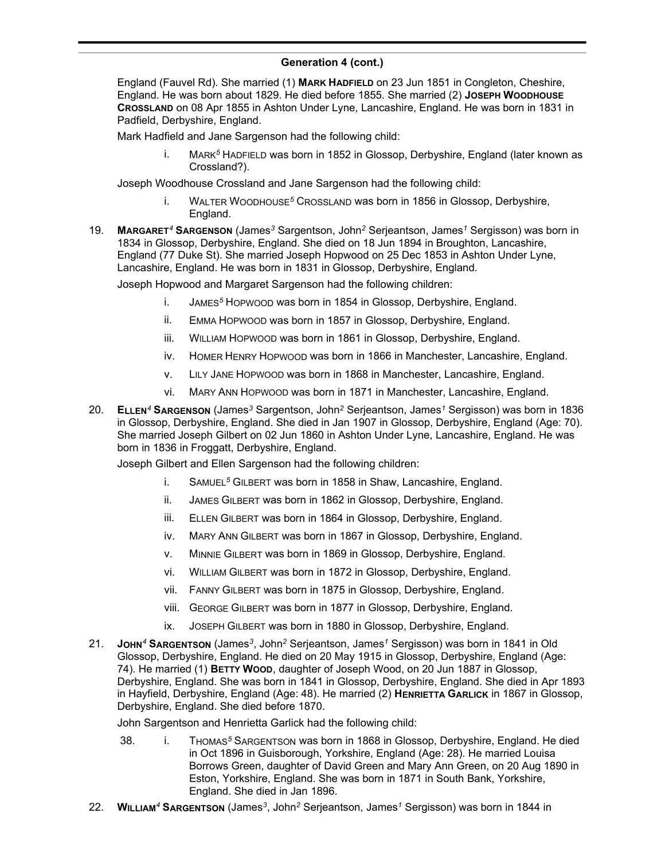England (Fauvel Rd). She married (1) **MARK HADFIELD** on 23 Jun 1851 in Congleton, Cheshire, England. He was born about 1829. He died before 1855. She married (2) **JOSEPH WOODHOUSE CROSSLAND** on 08 Apr 1855 in Ashton Under Lyne, Lancashire, England. He was born in 1831 in Padfield, Derbyshire, England.

Mark Hadfield and Jane Sargenson had the following child:

i. MARK*<sup>5</sup>* HADFIELD was born in 1852 in Glossop, Derbyshire, England (later known as Crossland?).

Joseph Woodhouse Crossland and Jane Sargenson had the following child:

- i. WALTER WOODHOUSE*<sup>5</sup>* CROSSLAND was born in 1856 in Glossop, Derbyshire, England.
- 19. **MARGARET***<sup>4</sup>* **SARGENSON** (James*<sup>3</sup>* Sargentson, John*<sup>2</sup>* Serjeantson, James*<sup>1</sup>* Sergisson) was born in 1834 in Glossop, Derbyshire, England. She died on 18 Jun 1894 in Broughton, Lancashire, England (77 Duke St). She married Joseph Hopwood on 25 Dec 1853 in Ashton Under Lyne, Lancashire, England. He was born in 1831 in Glossop, Derbyshire, England.

Joseph Hopwood and Margaret Sargenson had the following children:

- i. JAMES*<sup>5</sup>* HOPWOOD was born in 1854 in Glossop, Derbyshire, England.
- ii. EMMA HOPWOOD was born in 1857 in Glossop, Derbyshire, England.
- iii. WILLIAM HOPWOOD was born in 1861 in Glossop, Derbyshire, England.
- iv. HOMER HENRY HOPWOOD was born in 1866 in Manchester, Lancashire, England.
- v. LILY JANE HOPWOOD was born in 1868 in Manchester, Lancashire, England.
- vi. MARY ANN HOPWOOD was born in 1871 in Manchester, Lancashire, England.
- 20. **ELLEN***<sup>4</sup>* **SARGENSON** (James*<sup>3</sup>* Sargentson, John*<sup>2</sup>* Serjeantson, James*<sup>1</sup>* Sergisson) was born in 1836 in Glossop, Derbyshire, England. She died in Jan 1907 in Glossop, Derbyshire, England (Age: 70). She married Joseph Gilbert on 02 Jun 1860 in Ashton Under Lyne, Lancashire, England. He was born in 1836 in Froggatt, Derbyshire, England.

Joseph Gilbert and Ellen Sargenson had the following children:

- i. SAMUEL*<sup>5</sup>* GILBERT was born in 1858 in Shaw, Lancashire, England.
- ii. JAMES GILBERT was born in 1862 in Glossop, Derbyshire, England.
- iii. ELLEN GILBERT was born in 1864 in Glossop, Derbyshire, England.
- iv. MARY ANN GILBERT was born in 1867 in Glossop, Derbyshire, England.
- v. MINNIE GILBERT was born in 1869 in Glossop, Derbyshire, England.
- vi. WILLIAM GILBERT was born in 1872 in Glossop, Derbyshire, England.
- vii. FANNY GILBERT was born in 1875 in Glossop, Derbyshire, England.
- viii. GEORGE GILBERT was born in 1877 in Glossop, Derbyshire, England.
- ix. JOSEPH GILBERT was born in 1880 in Glossop, Derbyshire, England.
- 21. **JOHN***<sup>4</sup>* **SARGENTSON** (James*<sup>3</sup>* , John*<sup>2</sup>* Serjeantson, James*<sup>1</sup>* Sergisson) was born in 1841 in Old Glossop, Derbyshire, England. He died on 20 May 1915 in Glossop, Derbyshire, England (Age: 74). He married (1) **BETTY WOOD**, daughter of Joseph Wood, on 20 Jun 1887 in Glossop, Derbyshire, England. She was born in 1841 in Glossop, Derbyshire, England. She died in Apr 1893 in Hayfield, Derbyshire, England (Age: 48). He married (2) **HENRIETTA GARLICK** in 1867 in Glossop, Derbyshire, England. She died before 1870.

John Sargentson and Henrietta Garlick had the following child:

- 38. i. THOMAS*<sup>5</sup>* SARGENTSON was born in 1868 in Glossop, Derbyshire, England. He died in Oct 1896 in Guisborough, Yorkshire, England (Age: 28). He married Louisa Borrows Green, daughter of David Green and Mary Ann Green, on 20 Aug 1890 in Eston, Yorkshire, England. She was born in 1871 in South Bank, Yorkshire, England. She died in Jan 1896.
- 22. **WILLIAM***<sup>4</sup>* **SARGENTSON** (James*<sup>3</sup>* , John*<sup>2</sup>* Serjeantson, James*<sup>1</sup>* Sergisson) was born in 1844 in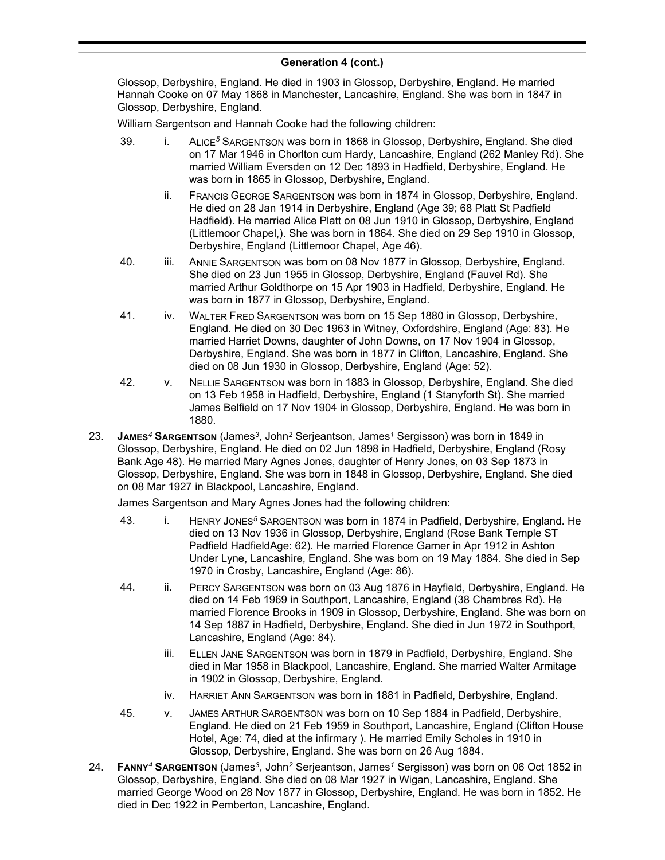#### **Generation 4 (cont.)** , John*<sup>2</sup>* Serjeantson, James*<sup>1</sup>* Sergisson) was born in 1844 in

Glossop, Derbyshire, England. He died in 1903 in Glossop, Derbyshire, England. He married Hannah Cooke on 07 May 1868 in Manchester, Lancashire, England. She was born in 1847 in Glossop, Derbyshire, England.

William Sargentson and Hannah Cooke had the following children:

- 39. i. ALICE*<sup>5</sup>* SARGENTSON was born in 1868 in Glossop, Derbyshire, England. She died on 17 Mar 1946 in Chorlton cum Hardy, Lancashire, England (262 Manley Rd). She married William Eversden on 12 Dec 1893 in Hadfield, Derbyshire, England. He was born in 1865 in Glossop, Derbyshire, England.
	- ii. FRANCIS GEORGE SARGENTSON was born in 1874 in Glossop, Derbyshire, England. He died on 28 Jan 1914 in Derbyshire, England (Age 39; 68 Platt St Padfield Hadfield). He married Alice Platt on 08 Jun 1910 in Glossop, Derbyshire, England (Littlemoor Chapel,). She was born in 1864. She died on 29 Sep 1910 in Glossop, Derbyshire, England (Littlemoor Chapel, Age 46).
- 40. iii. ANNIE SARGENTSON was born on 08 Nov 1877 in Glossop, Derbyshire, England. She died on 23 Jun 1955 in Glossop, Derbyshire, England (Fauvel Rd). She married Arthur Goldthorpe on 15 Apr 1903 in Hadfield, Derbyshire, England. He was born in 1877 in Glossop, Derbyshire, England.
- 41. iv. WALTER FRED SARGENTSON was born on 15 Sep 1880 in Glossop, Derbyshire, England. He died on 30 Dec 1963 in Witney, Oxfordshire, England (Age: 83). He married Harriet Downs, daughter of John Downs, on 17 Nov 1904 in Glossop, Derbyshire, England. She was born in 1877 in Clifton, Lancashire, England. She died on 08 Jun 1930 in Glossop, Derbyshire, England (Age: 52).
- 42. v. NELLIE SARGENTSON was born in 1883 in Glossop, Derbyshire, England. She died on 13 Feb 1958 in Hadfield, Derbyshire, England (1 Stanyforth St). She married James Belfield on 17 Nov 1904 in Glossop, Derbyshire, England. He was born in 1880.
- 23. **JAMES***<sup>4</sup>* **SARGENTSON** (James*<sup>3</sup>* , John*<sup>2</sup>* Serjeantson, James*<sup>1</sup>* Sergisson) was born in 1849 in Glossop, Derbyshire, England. He died on 02 Jun 1898 in Hadfield, Derbyshire, England (Rosy Bank Age 48). He married Mary Agnes Jones, daughter of Henry Jones, on 03 Sep 1873 in Glossop, Derbyshire, England. She was born in 1848 in Glossop, Derbyshire, England. She died on 08 Mar 1927 in Blackpool, Lancashire, England.

James Sargentson and Mary Agnes Jones had the following children:

- 43. i. HENRY JONES*<sup>5</sup>* SARGENTSON was born in 1874 in Padfield, Derbyshire, England. He died on 13 Nov 1936 in Glossop, Derbyshire, England (Rose Bank Temple ST Padfield HadfieldAge: 62). He married Florence Garner in Apr 1912 in Ashton Under Lyne, Lancashire, England. She was born on 19 May 1884. She died in Sep 1970 in Crosby, Lancashire, England (Age: 86).
- 44. ii. PERCY SARGENTSON was born on 03 Aug 1876 in Hayfield, Derbyshire, England. He died on 14 Feb 1969 in Southport, Lancashire, England (38 Chambres Rd). He married Florence Brooks in 1909 in Glossop, Derbyshire, England. She was born on 14 Sep 1887 in Hadfield, Derbyshire, England. She died in Jun 1972 in Southport, Lancashire, England (Age: 84).
	- iii. ELLEN JANE SARGENTSON was born in 1879 in Padfield, Derbyshire, England. She died in Mar 1958 in Blackpool, Lancashire, England. She married Walter Armitage in 1902 in Glossop, Derbyshire, England.
	- iv. HARRIET ANN SARGENTSON was born in 1881 in Padfield, Derbyshire, England.
- 45. v. JAMES ARTHUR SARGENTSON was born on 10 Sep 1884 in Padfield, Derbyshire, England. He died on 21 Feb 1959 in Southport, Lancashire, England (Clifton House Hotel, Age: 74, died at the infirmary ). He married Emily Scholes in 1910 in Glossop, Derbyshire, England. She was born on 26 Aug 1884.
- 24. **FANNY***<sup>4</sup>* **SARGENTSON** (James*<sup>3</sup>* , John*<sup>2</sup>* Serjeantson, James*<sup>1</sup>* Sergisson) was born on 06 Oct 1852 in Glossop, Derbyshire, England. She died on 08 Mar 1927 in Wigan, Lancashire, England. She married George Wood on 28 Nov 1877 in Glossop, Derbyshire, England. He was born in 1852. He died in Dec 1922 in Pemberton, Lancashire, England.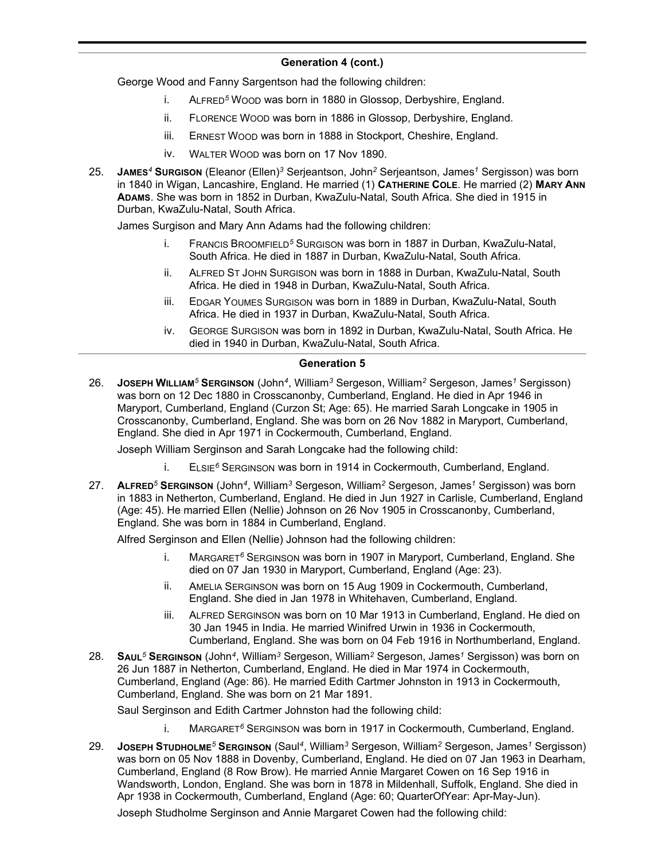George Wood and Fanny Sargentson had the following children:

- i. ALFRED*<sup>5</sup>* WOOD was born in 1880 in Glossop, Derbyshire, England.
- ii. FLORENCE WOOD was born in 1886 in Glossop, Derbyshire, England.
- iii. ERNEST WOOD was born in 1888 in Stockport, Cheshire, England.
- iv. WALTER WOOD was born on 17 Nov 1890.
- 25. **JAMES***<sup>4</sup>* **SURGISON** (Eleanor (Ellen)*<sup>3</sup>* Serjeantson, John*<sup>2</sup>* Serjeantson, James*<sup>1</sup>* Sergisson) was born in 1840 in Wigan, Lancashire, England. He married (1) **CATHERINE COLE**. He married (2) **MARY ANN ADAMS**. She was born in 1852 in Durban, KwaZulu-Natal, South Africa. She died in 1915 in Durban, KwaZulu-Natal, South Africa.

James Surgison and Mary Ann Adams had the following children:

- i. FRANCIS BROOMFIELD*<sup>5</sup>* SURGISON was born in 1887 in Durban, KwaZulu-Natal, South Africa. He died in 1887 in Durban, KwaZulu-Natal, South Africa.
- ii. ALFRED ST JOHN SURGISON was born in 1888 in Durban, KwaZulu-Natal, South Africa. He died in 1948 in Durban, KwaZulu-Natal, South Africa.
- iii. EDGAR YOUMES SURGISON was born in 1889 in Durban, KwaZulu-Natal, South Africa. He died in 1937 in Durban, KwaZulu-Natal, South Africa.
- iv. GEORGE SURGISON was born in 1892 in Durban, KwaZulu-Natal, South Africa. He died in 1940 in Durban, KwaZulu-Natal, South Africa.

#### **Generation 5**

26. **JOSEPH WILLIAM***<sup>5</sup>* **SERGINSON** (John*<sup>4</sup>* , William*<sup>3</sup>* Sergeson, William*<sup>2</sup>* Sergeson, James*<sup>1</sup>* Sergisson) was born on 12 Dec 1880 in Crosscanonby, Cumberland, England. He died in Apr 1946 in Maryport, Cumberland, England (Curzon St; Age: 65). He married Sarah Longcake in 1905 in Crosscanonby, Cumberland, England. She was born on 26 Nov 1882 in Maryport, Cumberland, England. She died in Apr 1971 in Cockermouth, Cumberland, England.

Joseph William Serginson and Sarah Longcake had the following child:

- i. ELSIE*<sup>6</sup>* SERGINSON was born in 1914 in Cockermouth, Cumberland, England.
- 27. **ALFRED***<sup>5</sup>* **SERGINSON** (John*<sup>4</sup>* , William*<sup>3</sup>* Sergeson, William*<sup>2</sup>* Sergeson, James*<sup>1</sup>* Sergisson) was born in 1883 in Netherton, Cumberland, England. He died in Jun 1927 in Carlisle, Cumberland, England (Age: 45). He married Ellen (Nellie) Johnson on 26 Nov 1905 in Crosscanonby, Cumberland, England. She was born in 1884 in Cumberland, England.

Alfred Serginson and Ellen (Nellie) Johnson had the following children:

- i. MARGARET*<sup>6</sup>* SERGINSON was born in 1907 in Maryport, Cumberland, England. She died on 07 Jan 1930 in Maryport, Cumberland, England (Age: 23).
- ii. AMELIA SERGINSON was born on 15 Aug 1909 in Cockermouth, Cumberland, England. She died in Jan 1978 in Whitehaven, Cumberland, England.
- iii. ALFRED SERGINSON was born on 10 Mar 1913 in Cumberland, England. He died on 30 Jan 1945 in India. He married Winifred Urwin in 1936 in Cockermouth, Cumberland, England. She was born on 04 Feb 1916 in Northumberland, England.
- 28. **SAUL***<sup>5</sup>* **SERGINSON** (John*<sup>4</sup>* , William*<sup>3</sup>* Sergeson, William*<sup>2</sup>* Sergeson, James*<sup>1</sup>* Sergisson) was born on 26 Jun 1887 in Netherton, Cumberland, England. He died in Mar 1974 in Cockermouth, Cumberland, England (Age: 86). He married Edith Cartmer Johnston in 1913 in Cockermouth, Cumberland, England. She was born on 21 Mar 1891.

Saul Serginson and Edith Cartmer Johnston had the following child:

- i. MARGARET*<sup>6</sup>* SERGINSON was born in 1917 in Cockermouth, Cumberland, England.
- 29. **JOSEPH STUDHOLME***<sup>5</sup>* **SERGINSON** (Saul*<sup>4</sup>* , William*<sup>3</sup>* Sergeson, William*<sup>2</sup>* Sergeson, James*<sup>1</sup>* Sergisson) was born on 05 Nov 1888 in Dovenby, Cumberland, England. He died on 07 Jan 1963 in Dearham, Cumberland, England (8 Row Brow). He married Annie Margaret Cowen on 16 Sep 1916 in Wandsworth, London, England. She was born in 1878 in Mildenhall, Suffolk, England. She died in Apr 1938 in Cockermouth, Cumberland, England (Age: 60; QuarterOfYear: Apr-May-Jun).

Joseph Studholme Serginson and Annie Margaret Cowen had the following child: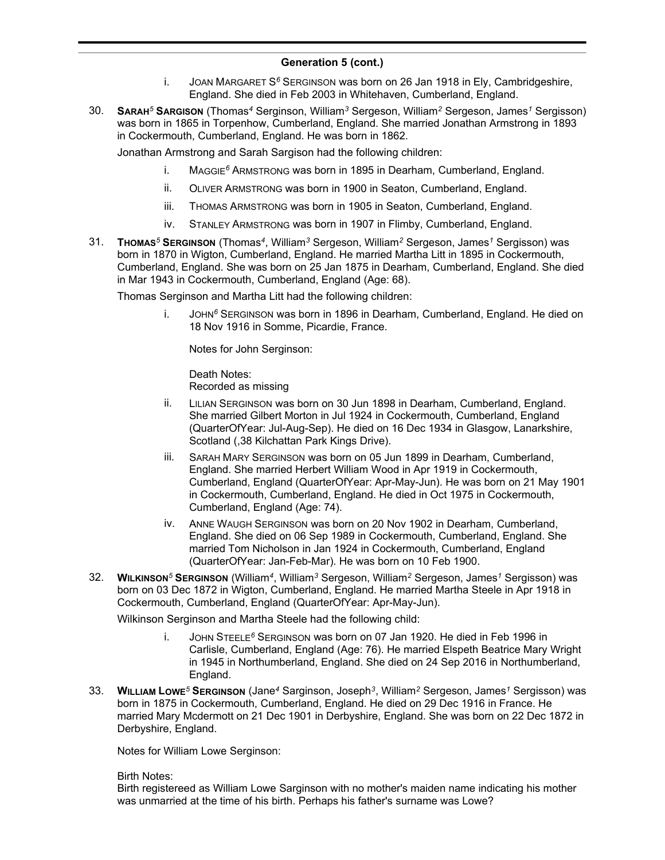- i. JOAN MARGARET S*<sup>6</sup>* SERGINSON was born on 26 Jan 1918 in Ely, Cambridgeshire, England. She died in Feb 2003 in Whitehaven, Cumberland, England.
- 30. **SARAH***<sup>5</sup>* **SARGISON** (Thomas*<sup>4</sup>* Serginson, William*<sup>3</sup>* Sergeson, William*<sup>2</sup>* Sergeson, James*<sup>1</sup>* Sergisson) was born in 1865 in Torpenhow, Cumberland, England. She married Jonathan Armstrong in 1893 in Cockermouth, Cumberland, England. He was born in 1862.

Jonathan Armstrong and Sarah Sargison had the following children:

- i. MAGGIE*<sup>6</sup>* ARMSTRONG was born in 1895 in Dearham, Cumberland, England.
- ii. OLIVER ARMSTRONG was born in 1900 in Seaton, Cumberland, England.
- iii. THOMAS ARMSTRONG was born in 1905 in Seaton, Cumberland, England.
- iv. STANLEY ARMSTRONG was born in 1907 in Flimby, Cumberland, England.
- 31. **THOMAS***<sup>5</sup>* **SERGINSON** (Thomas*<sup>4</sup>* , William*<sup>3</sup>* Sergeson, William*<sup>2</sup>* Sergeson, James*<sup>1</sup>* Sergisson) was born in 1870 in Wigton, Cumberland, England. He married Martha Litt in 1895 in Cockermouth, Cumberland, England. She was born on 25 Jan 1875 in Dearham, Cumberland, England. She died in Mar 1943 in Cockermouth, Cumberland, England (Age: 68).

Thomas Serginson and Martha Litt had the following children:

i. JOHN*<sup>6</sup>* SERGINSON was born in 1896 in Dearham, Cumberland, England. He died on 18 Nov 1916 in Somme, Picardie, France.

Notes for John Serginson:

Death Notes: Recorded as missing

- ii. LILIAN SERGINSON was born on 30 Jun 1898 in Dearham, Cumberland, England. She married Gilbert Morton in Jul 1924 in Cockermouth, Cumberland, England (QuarterOfYear: Jul-Aug-Sep). He died on 16 Dec 1934 in Glasgow, Lanarkshire, Scotland (,38 Kilchattan Park Kings Drive).
- iii. SARAH MARY SERGINSON was born on 05 Jun 1899 in Dearham, Cumberland, England. She married Herbert William Wood in Apr 1919 in Cockermouth, Cumberland, England (QuarterOfYear: Apr-May-Jun). He was born on 21 May 1901 in Cockermouth, Cumberland, England. He died in Oct 1975 in Cockermouth, Cumberland, England (Age: 74).
- iv. ANNE WAUGH SERGINSON was born on 20 Nov 1902 in Dearham, Cumberland, England. She died on 06 Sep 1989 in Cockermouth, Cumberland, England. She married Tom Nicholson in Jan 1924 in Cockermouth, Cumberland, England (QuarterOfYear: Jan-Feb-Mar). He was born on 10 Feb 1900.
- 32. **WILKINSON***<sup>5</sup>* **SERGINSON** (William*<sup>4</sup>* , William*<sup>3</sup>* Sergeson, William*<sup>2</sup>* Sergeson, James*<sup>1</sup>* Sergisson) was born on 03 Dec 1872 in Wigton, Cumberland, England. He married Martha Steele in Apr 1918 in Cockermouth, Cumberland, England (QuarterOfYear: Apr-May-Jun).

Wilkinson Serginson and Martha Steele had the following child:

- i. JOHN STEELE*<sup>6</sup>* SERGINSON was born on 07 Jan 1920. He died in Feb 1996 in Carlisle, Cumberland, England (Age: 76). He married Elspeth Beatrice Mary Wright in 1945 in Northumberland, England. She died on 24 Sep 2016 in Northumberland, England.
- 33. **WILLIAM LOWE***<sup>5</sup>* **SERGINSON** (Jane*<sup>4</sup>* Sarginson, Joseph*<sup>3</sup>* , William*<sup>2</sup>* Sergeson, James*<sup>1</sup>* Sergisson) was born in 1875 in Cockermouth, Cumberland, England. He died on 29 Dec 1916 in France. He married Mary Mcdermott on 21 Dec 1901 in Derbyshire, England. She was born on 22 Dec 1872 in Derbyshire, England.

Notes for William Lowe Serginson:

Birth Notes:

Birth registereed as William Lowe Sarginson with no mother's maiden name indicating his mother was unmarried at the time of his birth. Perhaps his father's surname was Lowe?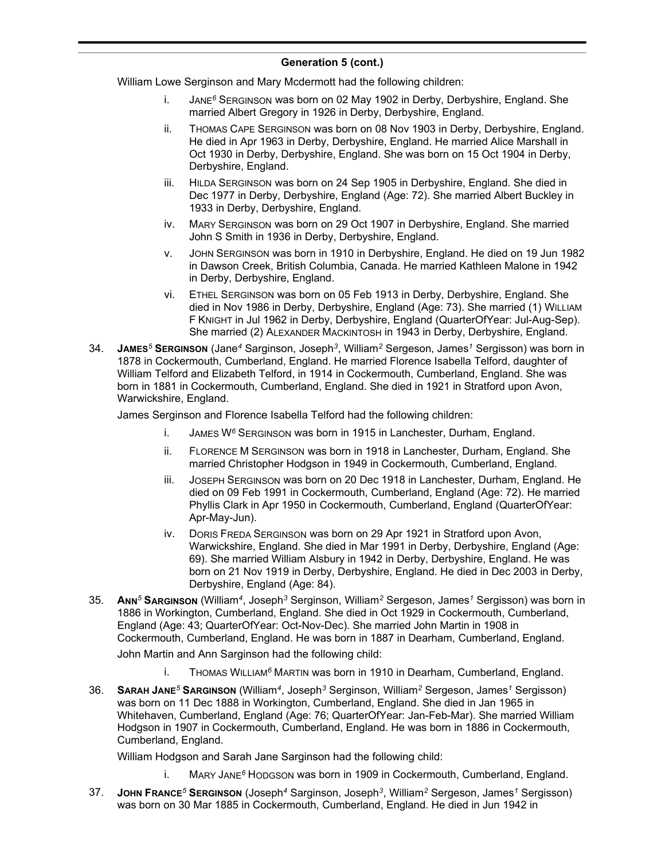William Lowe Serginson and Mary Mcdermott had the following children:

- i. JANE*<sup>6</sup>* SERGINSON was born on 02 May 1902 in Derby, Derbyshire, England. She married Albert Gregory in 1926 in Derby, Derbyshire, England.
- ii. THOMAS CAPE SERGINSON was born on 08 Nov 1903 in Derby, Derbyshire, England. He died in Apr 1963 in Derby, Derbyshire, England. He married Alice Marshall in Oct 1930 in Derby, Derbyshire, England. She was born on 15 Oct 1904 in Derby, Derbyshire, England.
- iii. HILDA SERGINSON was born on 24 Sep 1905 in Derbyshire, England. She died in Dec 1977 in Derby, Derbyshire, England (Age: 72). She married Albert Buckley in 1933 in Derby, Derbyshire, England.
- iv. MARY SERGINSON was born on 29 Oct 1907 in Derbyshire, England. She married John S Smith in 1936 in Derby, Derbyshire, England.
- v. JOHN SERGINSON was born in 1910 in Derbyshire, England. He died on 19 Jun 1982 in Dawson Creek, British Columbia, Canada. He married Kathleen Malone in 1942 in Derby, Derbyshire, England.
- vi. ETHEL SERGINSON was born on 05 Feb 1913 in Derby, Derbyshire, England. She died in Nov 1986 in Derby, Derbyshire, England (Age: 73). She married (1) WILLIAM F KNIGHT in Jul 1962 in Derby, Derbyshire, England (QuarterOfYear: Jul-Aug-Sep). She married (2) ALEXANDER MACKINTOSH in 1943 in Derby, Derbyshire, England.
- 34. **JAMES***<sup>5</sup>* **SERGINSON** (Jane*<sup>4</sup>* Sarginson, Joseph*<sup>3</sup>* , William*<sup>2</sup>* Sergeson, James*<sup>1</sup>* Sergisson) was born in 1878 in Cockermouth, Cumberland, England. He married Florence Isabella Telford, daughter of William Telford and Elizabeth Telford, in 1914 in Cockermouth, Cumberland, England. She was born in 1881 in Cockermouth, Cumberland, England. She died in 1921 in Stratford upon Avon, Warwickshire, England.

James Serginson and Florence Isabella Telford had the following children:

- i. JAMES W*<sup>6</sup>* SERGINSON was born in 1915 in Lanchester, Durham, England.
- ii. FLORENCE M SERGINSON was born in 1918 in Lanchester, Durham, England. She married Christopher Hodgson in 1949 in Cockermouth, Cumberland, England.
- iii. JOSEPH SERGINSON was born on 20 Dec 1918 in Lanchester, Durham, England. He died on 09 Feb 1991 in Cockermouth, Cumberland, England (Age: 72). He married Phyllis Clark in Apr 1950 in Cockermouth, Cumberland, England (QuarterOfYear: Apr-May-Jun).
- iv. DORIS FREDA SERGINSON was born on 29 Apr 1921 in Stratford upon Avon, Warwickshire, England. She died in Mar 1991 in Derby, Derbyshire, England (Age: 69). She married William Alsbury in 1942 in Derby, Derbyshire, England. He was born on 21 Nov 1919 in Derby, Derbyshire, England. He died in Dec 2003 in Derby, Derbyshire, England (Age: 84).
- 35. **ANN***<sup>5</sup>* **SARGINSON** (William*<sup>4</sup>* , Joseph*<sup>3</sup>* Serginson, William*<sup>2</sup>* Sergeson, James*<sup>1</sup>* Sergisson) was born in 1886 in Workington, Cumberland, England. She died in Oct 1929 in Cockermouth, Cumberland, England (Age: 43; QuarterOfYear: Oct-Nov-Dec). She married John Martin in 1908 in Cockermouth, Cumberland, England. He was born in 1887 in Dearham, Cumberland, England.

John Martin and Ann Sarginson had the following child:

- i. THOMAS WILLIAM*<sup>6</sup>* MARTIN was born in 1910 in Dearham, Cumberland, England.
- 36. **SARAH JANE***<sup>5</sup>* **SARGINSON** (William*<sup>4</sup>* , Joseph*<sup>3</sup>* Serginson, William*<sup>2</sup>* Sergeson, James*<sup>1</sup>* Sergisson) was born on 11 Dec 1888 in Workington, Cumberland, England. She died in Jan 1965 in Whitehaven, Cumberland, England (Age: 76; QuarterOfYear: Jan-Feb-Mar). She married William Hodgson in 1907 in Cockermouth, Cumberland, England. He was born in 1886 in Cockermouth, Cumberland, England.

William Hodgson and Sarah Jane Sarginson had the following child:

- i. MARY JANE*<sup>6</sup>* HODGSON was born in 1909 in Cockermouth, Cumberland, England.
- 37. **JOHN FRANCE***<sup>5</sup>* **SERGINSON** (Joseph*<sup>4</sup>* Sarginson, Joseph*<sup>3</sup>* , William*<sup>2</sup>* Sergeson, James*<sup>1</sup>* Sergisson) was born on 30 Mar 1885 in Cockermouth, Cumberland, England. He died in Jun 1942 in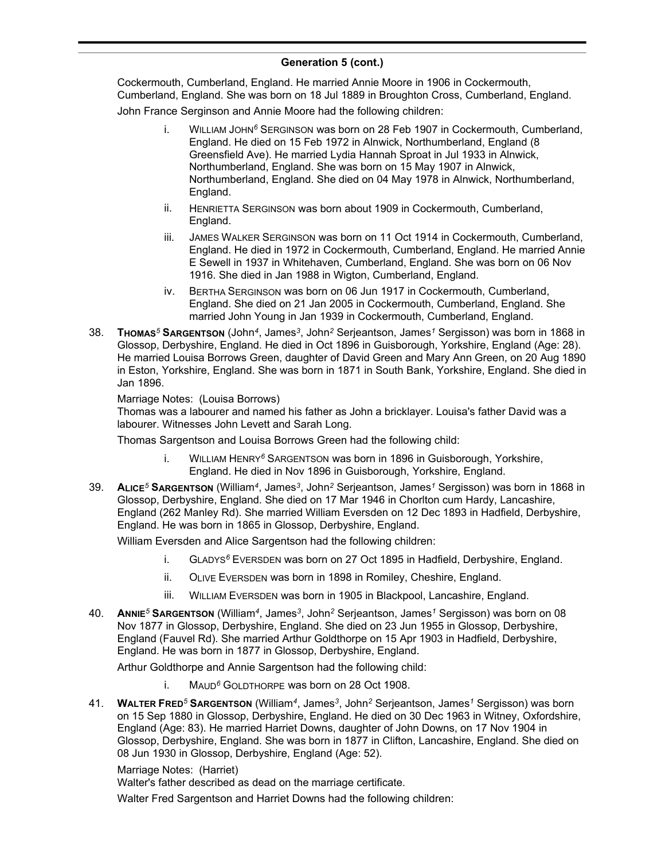#### **Generation 5 (cont.)**  $concentration$   $\bullet$   $(conn)$

Cockermouth, Cumberland, England. He married Annie Moore in 1906 in Cockermouth, Cumberland, England. She was born on 18 Jul 1889 in Broughton Cross, Cumberland, England.

John France Serginson and Annie Moore had the following children:

- i. WILLIAM JOHN*<sup>6</sup>* SERGINSON was born on 28 Feb 1907 in Cockermouth, Cumberland, England. He died on 15 Feb 1972 in Alnwick, Northumberland, England (8 Greensfield Ave). He married Lydia Hannah Sproat in Jul 1933 in Alnwick, Northumberland, England. She was born on 15 May 1907 in Alnwick, Northumberland, England. She died on 04 May 1978 in Alnwick, Northumberland, England.
- ii. HENRIETTA SERGINSON was born about 1909 in Cockermouth, Cumberland, England.
- iii. JAMES WALKER SERGINSON was born on 11 Oct 1914 in Cockermouth, Cumberland, England. He died in 1972 in Cockermouth, Cumberland, England. He married Annie E Sewell in 1937 in Whitehaven, Cumberland, England. She was born on 06 Nov 1916. She died in Jan 1988 in Wigton, Cumberland, England.
- iv. BERTHA SERGINSON was born on 06 Jun 1917 in Cockermouth, Cumberland, England. She died on 21 Jan 2005 in Cockermouth, Cumberland, England. She married John Young in Jan 1939 in Cockermouth, Cumberland, England.
- 38. **THOMAS***<sup>5</sup>* **SARGENTSON** (John*<sup>4</sup>* , James*<sup>3</sup>* , John*<sup>2</sup>* Serjeantson, James*<sup>1</sup>* Sergisson) was born in 1868 in Glossop, Derbyshire, England. He died in Oct 1896 in Guisborough, Yorkshire, England (Age: 28). He married Louisa Borrows Green, daughter of David Green and Mary Ann Green, on 20 Aug 1890 in Eston, Yorkshire, England. She was born in 1871 in South Bank, Yorkshire, England. She died in Jan 1896.

#### Marriage Notes: (Louisa Borrows)

Thomas was a labourer and named his father as John a bricklayer. Louisa's father David was a labourer. Witnesses John Levett and Sarah Long.

Thomas Sargentson and Louisa Borrows Green had the following child:

- i. WILLIAM HENRY*<sup>6</sup>* SARGENTSON was born in 1896 in Guisborough, Yorkshire, England. He died in Nov 1896 in Guisborough, Yorkshire, England.
- 39. **ALICE***<sup>5</sup>* **SARGENTSON** (William*<sup>4</sup>* , James*<sup>3</sup>* , John*<sup>2</sup>* Serjeantson, James*<sup>1</sup>* Sergisson) was born in 1868 in Glossop, Derbyshire, England. She died on 17 Mar 1946 in Chorlton cum Hardy, Lancashire, England (262 Manley Rd). She married William Eversden on 12 Dec 1893 in Hadfield, Derbyshire, England. He was born in 1865 in Glossop, Derbyshire, England.

William Eversden and Alice Sargentson had the following children:

- i. GLADYS*<sup>6</sup>* EVERSDEN was born on 27 Oct 1895 in Hadfield, Derbyshire, England.
- ii. OLIVE EVERSDEN was born in 1898 in Romiley, Cheshire, England.
- iii. WILLIAM EVERSDEN was born in 1905 in Blackpool, Lancashire, England.
- 40. **ANNIE***<sup>5</sup>* **SARGENTSON** (William*<sup>4</sup>* , James*<sup>3</sup>* , John*<sup>2</sup>* Serjeantson, James*<sup>1</sup>* Sergisson) was born on 08 Nov 1877 in Glossop, Derbyshire, England. She died on 23 Jun 1955 in Glossop, Derbyshire, England (Fauvel Rd). She married Arthur Goldthorpe on 15 Apr 1903 in Hadfield, Derbyshire, England. He was born in 1877 in Glossop, Derbyshire, England.

Arthur Goldthorpe and Annie Sargentson had the following child:

- i. MAUD*<sup>6</sup>* GOLDTHORPE was born on 28 Oct 1908.
- 41. **WALTER FRED***<sup>5</sup>* **SARGENTSON** (William*<sup>4</sup>* , James*<sup>3</sup>* , John*<sup>2</sup>* Serjeantson, James*<sup>1</sup>* Sergisson) was born on 15 Sep 1880 in Glossop, Derbyshire, England. He died on 30 Dec 1963 in Witney, Oxfordshire, England (Age: 83). He married Harriet Downs, daughter of John Downs, on 17 Nov 1904 in Glossop, Derbyshire, England. She was born in 1877 in Clifton, Lancashire, England. She died on 08 Jun 1930 in Glossop, Derbyshire, England (Age: 52).

Marriage Notes: (Harriet)

Walter's father described as dead on the marriage certificate.

Walter Fred Sargentson and Harriet Downs had the following children: